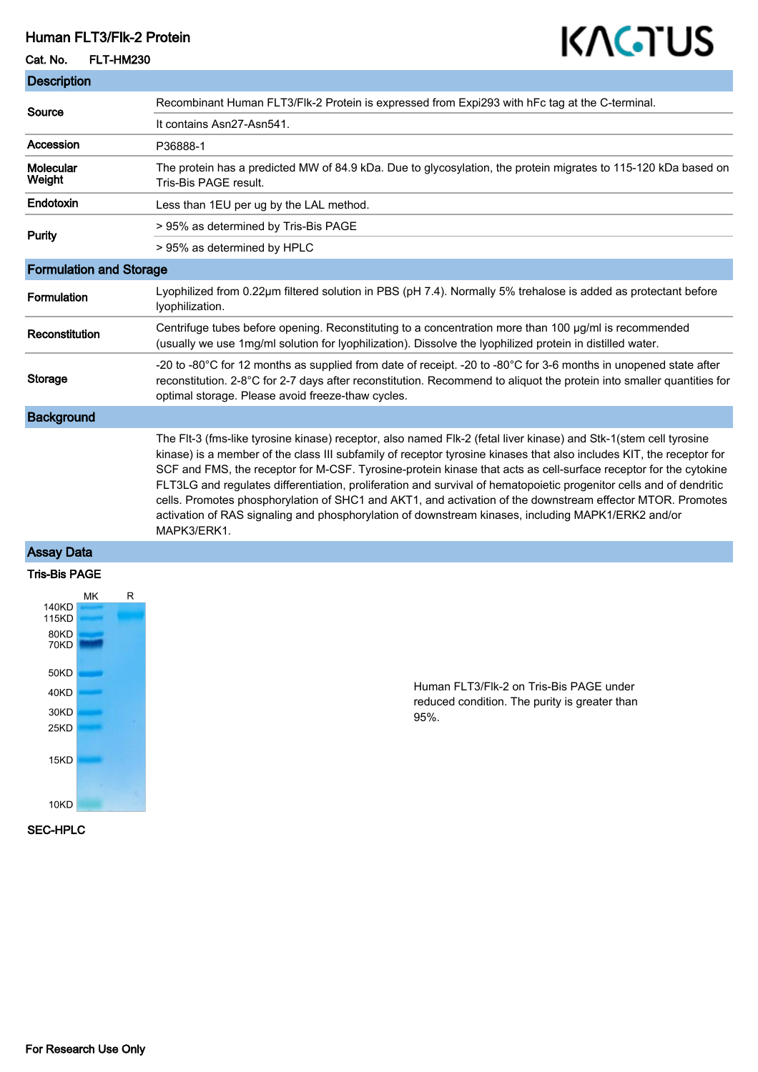## Human FLT3/Flk-2 Protein

## Cat. No. FLT-HM230

Description

# KAGTUS

| <b>Description</b>             |                                                                                                                                                                                                                                                                                                                                                                                                                                                                                                                                                                                                                                                                                                                         |
|--------------------------------|-------------------------------------------------------------------------------------------------------------------------------------------------------------------------------------------------------------------------------------------------------------------------------------------------------------------------------------------------------------------------------------------------------------------------------------------------------------------------------------------------------------------------------------------------------------------------------------------------------------------------------------------------------------------------------------------------------------------------|
| Source                         | Recombinant Human FLT3/Flk-2 Protein is expressed from Expi293 with hFc tag at the C-terminal.                                                                                                                                                                                                                                                                                                                                                                                                                                                                                                                                                                                                                          |
|                                | It contains Asn27-Asn541.                                                                                                                                                                                                                                                                                                                                                                                                                                                                                                                                                                                                                                                                                               |
| Accession                      | P36888-1                                                                                                                                                                                                                                                                                                                                                                                                                                                                                                                                                                                                                                                                                                                |
| <b>Molecular</b><br>Weight     | The protein has a predicted MW of 84.9 kDa. Due to glycosylation, the protein migrates to 115-120 kDa based on<br>Tris-Bis PAGE result.                                                                                                                                                                                                                                                                                                                                                                                                                                                                                                                                                                                 |
| <b>Endotoxin</b>               | Less than 1EU per ug by the LAL method.                                                                                                                                                                                                                                                                                                                                                                                                                                                                                                                                                                                                                                                                                 |
| <b>Purity</b>                  | > 95% as determined by Tris-Bis PAGE                                                                                                                                                                                                                                                                                                                                                                                                                                                                                                                                                                                                                                                                                    |
|                                | > 95% as determined by HPLC                                                                                                                                                                                                                                                                                                                                                                                                                                                                                                                                                                                                                                                                                             |
| <b>Formulation and Storage</b> |                                                                                                                                                                                                                                                                                                                                                                                                                                                                                                                                                                                                                                                                                                                         |
| Formulation                    | Lyophilized from 0.22µm filtered solution in PBS (pH 7.4). Normally 5% trehalose is added as protectant before<br>lyophilization.                                                                                                                                                                                                                                                                                                                                                                                                                                                                                                                                                                                       |
| Reconstitution                 | Centrifuge tubes before opening. Reconstituting to a concentration more than 100 µg/ml is recommended<br>(usually we use 1mg/ml solution for lyophilization). Dissolve the lyophilized protein in distilled water.                                                                                                                                                                                                                                                                                                                                                                                                                                                                                                      |
| <b>Storage</b>                 | -20 to -80°C for 12 months as supplied from date of receipt. -20 to -80°C for 3-6 months in unopened state after<br>reconstitution. 2-8°C for 2-7 days after reconstitution. Recommend to aliquot the protein into smaller quantities for<br>optimal storage. Please avoid freeze-thaw cycles.                                                                                                                                                                                                                                                                                                                                                                                                                          |
| <b>Background</b>              |                                                                                                                                                                                                                                                                                                                                                                                                                                                                                                                                                                                                                                                                                                                         |
|                                | The Flt-3 (fms-like tyrosine kinase) receptor, also named Flk-2 (fetal liver kinase) and Stk-1(stem cell tyrosine<br>kinase) is a member of the class III subfamily of receptor tyrosine kinases that also includes KIT, the receptor for<br>SCF and FMS, the receptor for M-CSF. Tyrosine-protein kinase that acts as cell-surface receptor for the cytokine<br>FLT3LG and regulates differentiation, proliferation and survival of hematopoietic progenitor cells and of dendritic<br>cells. Promotes phosphorylation of SHC1 and AKT1, and activation of the downstream effector MTOR. Promotes<br>activation of RAS signaling and phosphorylation of downstream kinases, including MAPK1/ERK2 and/or<br>MAPK3/ERK1. |

## Assay Data

#### Tris-Bis PAGE



Human FLT3/Flk-2 on Tris-Bis PAGE under reduced condition. The purity is greater than 95%.